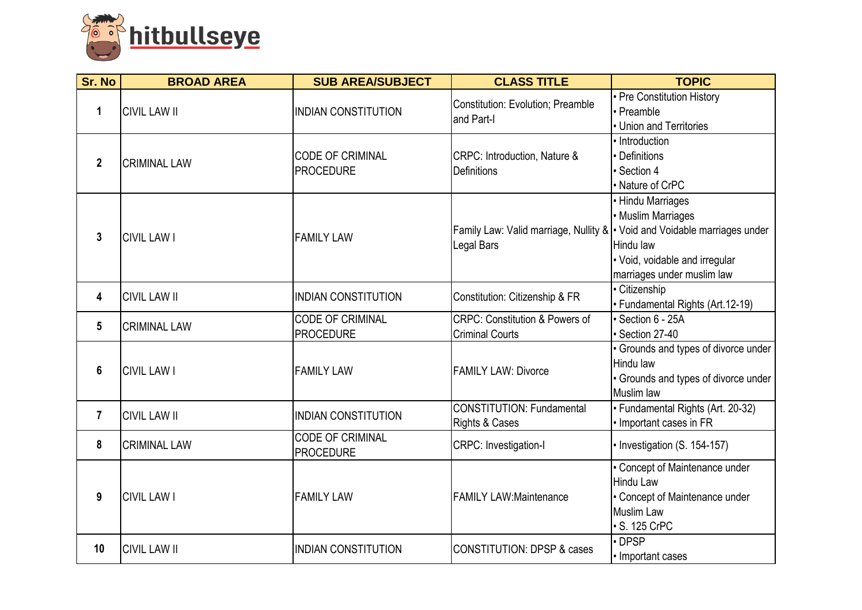

| <b>Sr. No</b>  | <b>BROAD AREA</b>   | <b>SUB AREA/SUBJECT</b>                     | <b>CLASS TITLE</b>                                                  | <b>TOPIC</b>                                                                                                                                                                                               |
|----------------|---------------------|---------------------------------------------|---------------------------------------------------------------------|------------------------------------------------------------------------------------------------------------------------------------------------------------------------------------------------------------|
| 1              | <b>CIVIL LAW II</b> | <b>INDIAN CONSTITUTION</b>                  | <b>Constitution: Evolution; Preamble</b><br>and Part-I              | • Pre Constitution History<br>• Preamble<br>• Union and Territories                                                                                                                                        |
| $\overline{2}$ | <b>CRIMINAL LAW</b> | <b>CODE OF CRIMINAL</b><br><b>PROCEDURE</b> | CRPC: Introduction, Nature &<br><b>Definitions</b>                  | · Introduction<br>Definitions<br>· Section 4<br>• Nature of CrPC                                                                                                                                           |
| $\mathbf{3}$   | <b>CIVIL LAW I</b>  | <b>FAMILY LAW</b>                           | Legal Bars                                                          | • Hindu Marriages<br>• Muslim Marriages<br>Family Law: Valid marriage, Nullity $\&$ $\cdot$ Void and Voidable marriages under<br>Hindu law<br>• Void, voidable and irregular<br>marriages under muslim law |
| 4              | <b>CIVIL LAW II</b> | <b>INDIAN CONSTITUTION</b>                  | Constitution: Citizenship & FR                                      | • Citizenship<br>· Fundamental Rights (Art.12-19)                                                                                                                                                          |
| 5              | <b>CRIMINAL LAW</b> | <b>CODE OF CRIMINAL</b><br><b>PROCEDURE</b> | <b>CRPC: Constitution &amp; Powers of</b><br><b>Criminal Courts</b> | · Section 6 - 25A<br>· Section 27-40                                                                                                                                                                       |
| 6              | <b>CIVIL LAW I</b>  | <b>FAMILY LAW</b>                           | <b>FAMILY LAW: Divorce</b>                                          | · Grounds and types of divorce under<br>Hindu law<br>• Grounds and types of divorce under<br><b>Muslim law</b>                                                                                             |
| $\overline{7}$ | <b>CIVIL LAW II</b> | <b>INDIAN CONSTITUTION</b>                  | <b>CONSTITUTION: Fundamental</b><br>Rights & Cases                  | • Fundamental Rights (Art. 20-32)<br>• Important cases in FR                                                                                                                                               |
| 8              | <b>CRIMINAL LAW</b> | <b>CODE OF CRIMINAL</b><br><b>PROCEDURE</b> | CRPC: Investigation-I                                               | • Investigation (S. 154-157)                                                                                                                                                                               |
| 9              | <b>CIVIL LAW I</b>  | <b>FAMILY LAW</b>                           | FAMILY LAW:Maintenance                                              | • Concept of Maintenance under<br><b>Hindu Law</b><br>• Concept of Maintenance under<br><b>Muslim Law</b><br>· S. 125 CrPC                                                                                 |
| 10             | <b>CIVIL LAW II</b> | <b>INDIAN CONSTITUTION</b>                  | <b>CONSTITUTION: DPSP &amp; cases</b>                               | DPSP<br>• Important cases                                                                                                                                                                                  |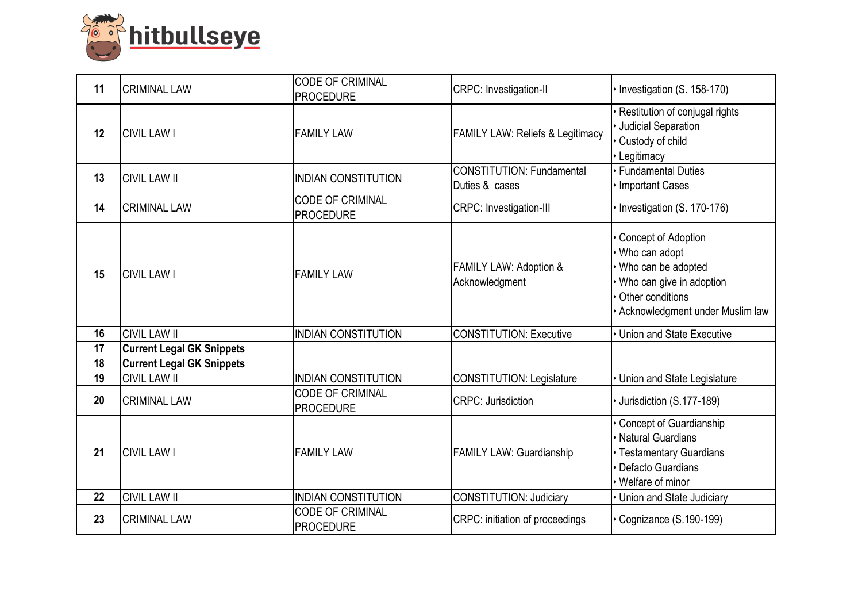

| 11 | <b>CRIMINAL LAW</b>              | <b>CODE OF CRIMINAL</b><br><b>PROCEDURE</b> | CRPC: Investigation-II                              | • Investigation (S. 158-170)                                                                                                                              |
|----|----------------------------------|---------------------------------------------|-----------------------------------------------------|-----------------------------------------------------------------------------------------------------------------------------------------------------------|
| 12 | <b>CIVIL LAW I</b>               | <b>FAMILY LAW</b>                           | <b>FAMILY LAW: Reliefs &amp; Legitimacy</b>         | · Restitution of conjugal rights<br>· Judicial Separation<br>• Custody of child<br>• Legitimacy                                                           |
| 13 | <b>CIVIL LAW II</b>              | <b>INDIAN CONSTITUTION</b>                  | CONSTITUTION: Fundamental<br>Duties & cases         | • Fundamental Duties<br>• Important Cases                                                                                                                 |
| 14 | <b>CRIMINAL LAW</b>              | <b>CODE OF CRIMINAL</b><br><b>PROCEDURE</b> | CRPC: Investigation-III                             | • Investigation (S. 170-176)                                                                                                                              |
| 15 | <b>CIVIL LAW I</b>               | <b>FAMILY LAW</b>                           | <b>FAMILY LAW: Adoption &amp;</b><br>Acknowledgment | • Concept of Adoption<br>• Who can adopt<br>• Who can be adopted<br>• Who can give in adoption<br>• Other conditions<br>• Acknowledgment under Muslim law |
| 16 | <b>CIVIL LAW II</b>              | <b>INDIAN CONSTITUTION</b>                  | <b>CONSTITUTION: Executive</b>                      | • Union and State Executive                                                                                                                               |
| 17 | <b>Current Legal GK Snippets</b> |                                             |                                                     |                                                                                                                                                           |
| 18 | <b>Current Legal GK Snippets</b> |                                             |                                                     |                                                                                                                                                           |
| 19 | <b>CIVIL LAW II</b>              | <b>INDIAN CONSTITUTION</b>                  | CONSTITUTION: Legislature                           | • Union and State Legislature                                                                                                                             |
| 20 | <b>CRIMINAL LAW</b>              | <b>CODE OF CRIMINAL</b><br><b>PROCEDURE</b> | <b>CRPC: Jurisdiction</b>                           | · Jurisdiction (S.177-189)                                                                                                                                |
| 21 | <b>CIVIL LAW I</b>               | <b>FAMILY LAW</b>                           | <b>FAMILY LAW: Guardianship</b>                     | Concept of Guardianship<br>· Natural Guardians<br>• Testamentary Guardians<br>• Defacto Guardians<br>• Welfare of minor                                   |
| 22 | <b>CIVIL LAW II</b>              | <b>INDIAN CONSTITUTION</b>                  | CONSTITUTION: Judiciary                             | • Union and State Judiciary                                                                                                                               |
| 23 | <b>CRIMINAL LAW</b>              | <b>CODE OF CRIMINAL</b><br><b>PROCEDURE</b> | CRPC: initiation of proceedings                     | • Cognizance (S.190-199)                                                                                                                                  |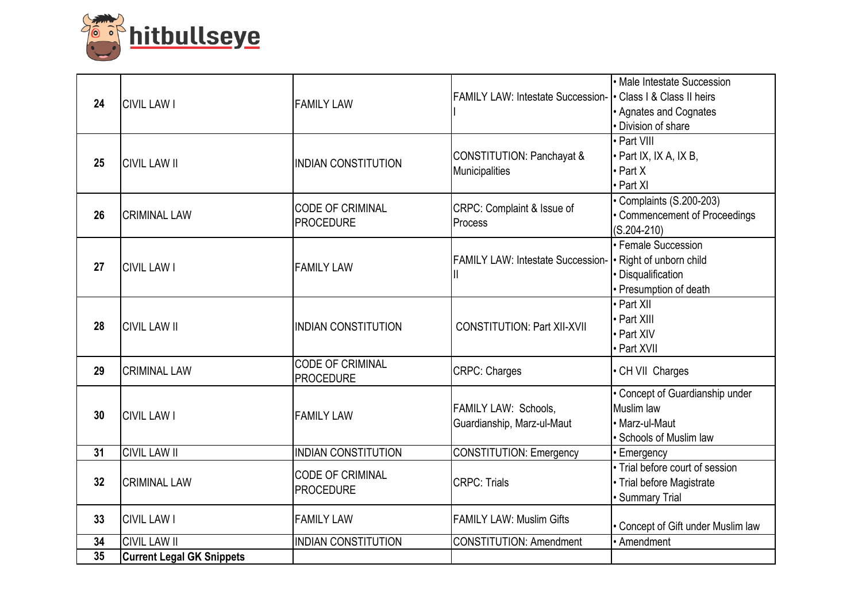

| 24 | <b>CIVIL LAW I</b>               | <b>FAMILY LAW</b>                           | <b>FAMILY LAW: Intestate Succession-</b>           | • Male Intestate Succession<br>• Class I & Class II heirs<br>• Agnates and Cognates<br>· Division of share |
|----|----------------------------------|---------------------------------------------|----------------------------------------------------|------------------------------------------------------------------------------------------------------------|
| 25 | <b>CIVIL LAW II</b>              | <b>INDIAN CONSTITUTION</b>                  | CONSTITUTION: Panchayat &<br>Municipalities        | • Part VIII<br>• Part IX, IX A, IX B,<br>$\cdot$ Part X<br>• Part XI                                       |
| 26 | <b>CRIMINAL LAW</b>              | <b>CODE OF CRIMINAL</b><br><b>PROCEDURE</b> | CRPC: Complaint & Issue of<br>Process              | Complaints (S.200-203)<br>• Commencement of Proceedings<br>$(S.204-210)$                                   |
| 27 | <b>CIVIL LAW I</b>               | <b>FAMILY LAW</b>                           | <b>FAMILY LAW: Intestate Succession-</b><br>Ш      | • Female Succession<br>• Right of unborn child<br>· Disqualification<br>• Presumption of death             |
| 28 | <b>CIVIL LAW II</b>              | <b>INDIAN CONSTITUTION</b>                  | <b>CONSTITUTION: Part XII-XVII</b>                 | • Part XII<br>• Part XIII<br>• Part XIV<br>• Part XVII                                                     |
| 29 | <b>CRIMINAL LAW</b>              | <b>CODE OF CRIMINAL</b><br><b>PROCEDURE</b> | <b>CRPC: Charges</b>                               | • CH VII Charges                                                                                           |
| 30 | <b>CIVIL LAW I</b>               | <b>FAMILY LAW</b>                           | FAMILY LAW: Schools,<br>Guardianship, Marz-ul-Maut | • Concept of Guardianship under<br>Muslim law<br>• Marz-ul-Maut<br>• Schools of Muslim law                 |
| 31 | <b>CIVIL LAW II</b>              | <b>INDIAN CONSTITUTION</b>                  | <b>CONSTITUTION: Emergency</b>                     | • Emergency                                                                                                |
| 32 | <b>CRIMINAL LAW</b>              | <b>CODE OF CRIMINAL</b><br><b>PROCEDURE</b> | <b>CRPC: Trials</b>                                | • Trial before court of session<br>• Trial before Magistrate<br>· Summary Trial                            |
| 33 | <b>CIVIL LAW I</b>               | <b>FAMILY LAW</b>                           | <b>FAMILY LAW: Muslim Gifts</b>                    | • Concept of Gift under Muslim law                                                                         |
| 34 | <b>CIVIL LAW II</b>              | <b>INDIAN CONSTITUTION</b>                  | <b>CONSTITUTION: Amendment</b>                     | • Amendment                                                                                                |
| 35 | <b>Current Legal GK Snippets</b> |                                             |                                                    |                                                                                                            |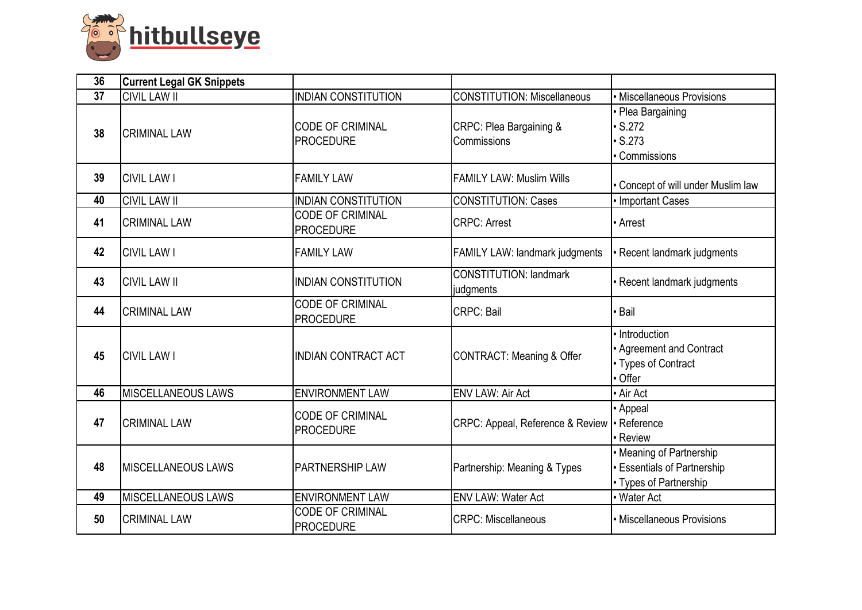

| 36 | <b>Current Legal GK Snippets</b> |                                             |                                                |                                                                                          |
|----|----------------------------------|---------------------------------------------|------------------------------------------------|------------------------------------------------------------------------------------------|
| 37 | <b>CIVIL LAW II</b>              | <b>INDIAN CONSTITUTION</b>                  | <b>CONSTITUTION: Miscellaneous</b>             | • Miscellaneous Provisions                                                               |
| 38 | <b>CRIMINAL LAW</b>              | <b>CODE OF CRIMINAL</b><br><b>PROCEDURE</b> | CRPC: Plea Bargaining &<br>Commissions         | • Plea Bargaining<br>$\cdot$ S.272<br>$\cdot$ S.273<br>• Commissions                     |
| 39 | <b>CIVIL LAW I</b>               | <b>FAMILY LAW</b>                           | FAMILY LAW: Muslim Wills                       | • Concept of will under Muslim law                                                       |
| 40 | <b>CIVIL LAW II</b>              | <b>INDIAN CONSTITUTION</b>                  | <b>CONSTITUTION: Cases</b>                     | • Important Cases                                                                        |
| 41 | <b>CRIMINAL LAW</b>              | <b>CODE OF CRIMINAL</b><br><b>PROCEDURE</b> | <b>CRPC: Arrest</b>                            | • Arrest                                                                                 |
| 42 | <b>CIVIL LAW I</b>               | <b>FAMILY LAW</b>                           | <b>FAMILY LAW: landmark judgments</b>          | · Recent landmark judgments                                                              |
| 43 | <b>CIVIL LAW II</b>              | <b>INDIAN CONSTITUTION</b>                  | <b>CONSTITUTION: landmark</b><br>judgments     | • Recent landmark judgments                                                              |
| 44 | <b>CRIMINAL LAW</b>              | <b>CODE OF CRIMINAL</b><br><b>PROCEDURE</b> | <b>CRPC: Bail</b>                              | <b>Bail</b>                                                                              |
| 45 | <b>CIVIL LAW I</b>               | <b>INDIAN CONTRACT ACT</b>                  | CONTRACT: Meaning & Offer                      | • Introduction<br>• Agreement and Contract<br>• Types of Contract<br>• Offer             |
| 46 | <b>MISCELLANEOUS LAWS</b>        | <b>ENVIRONMENT LAW</b>                      | <b>ENV LAW: Air Act</b>                        | • Air Act                                                                                |
| 47 | <b>CRIMINAL LAW</b>              | <b>CODE OF CRIMINAL</b><br><b>PROCEDURE</b> | CRPC: Appeal, Reference & Review   · Reference | • Appeal<br>• Review                                                                     |
| 48 | <b>IMISCELLANEOUS LAWS</b>       | <b>IPARTNERSHIP LAW</b>                     | Partnership: Meaning & Types                   | • Meaning of Partnership<br><b>• Essentials of Partnership</b><br>• Types of Partnership |
| 49 | <b>MISCELLANEOUS LAWS</b>        | <b>ENVIRONMENT LAW</b>                      | <b>ENV LAW: Water Act</b>                      | • Water Act                                                                              |
| 50 | <b>CRIMINAL LAW</b>              | <b>CODE OF CRIMINAL</b><br><b>PROCEDURE</b> | <b>CRPC: Miscellaneous</b>                     | • Miscellaneous Provisions                                                               |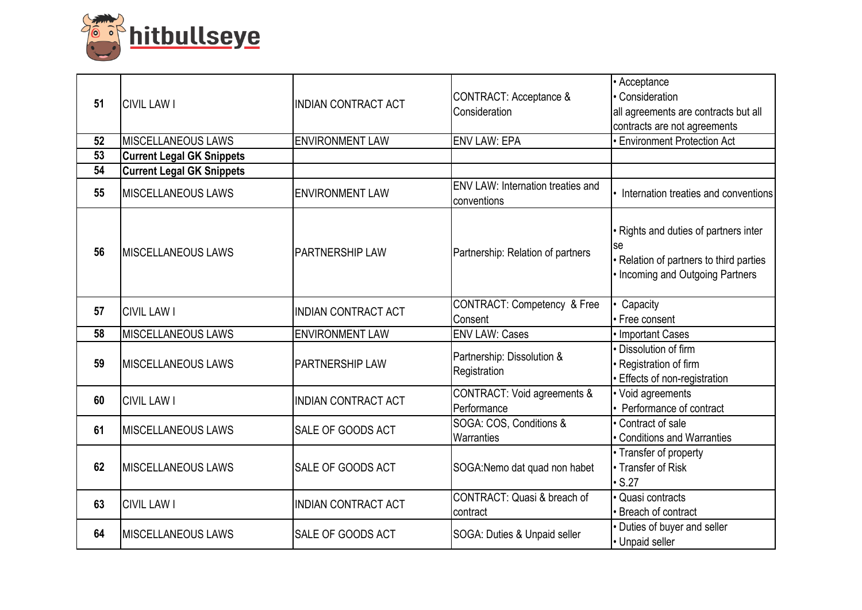

| 51 | <b>CIVIL LAW I</b>               | <b>INDIAN CONTRACT ACT</b> | CONTRACT: Acceptance &<br>Consideration                 | • Acceptance<br>• Consideration<br>all agreements are contracts but all<br>contracts are not agreements                     |
|----|----------------------------------|----------------------------|---------------------------------------------------------|-----------------------------------------------------------------------------------------------------------------------------|
| 52 | <b>MISCELLANEOUS LAWS</b>        | <b>ENVIRONMENT LAW</b>     | <b>ENV LAW: EPA</b>                                     | <b>Environment Protection Act</b>                                                                                           |
| 53 | <b>Current Legal GK Snippets</b> |                            |                                                         |                                                                                                                             |
| 54 | <b>Current Legal GK Snippets</b> |                            |                                                         |                                                                                                                             |
| 55 | <b>MISCELLANEOUS LAWS</b>        | <b>ENVIRONMENT LAW</b>     | <b>ENV LAW: Internation treaties and</b><br>conventions | • Internation treaties and conventions                                                                                      |
| 56 | <b>IMISCELLANEOUS LAWS</b>       | <b>PARTNERSHIP LAW</b>     | Partnership: Relation of partners                       | • Rights and duties of partners inter<br>lse<br>• Relation of partners to third parties<br>• Incoming and Outgoing Partners |
| 57 | <b>CIVIL LAW I</b>               | <b>INDIAN CONTRACT ACT</b> | CONTRACT: Competency & Free<br>Consent                  | Capacity<br>• Free consent                                                                                                  |
| 58 | <b>MISCELLANEOUS LAWS</b>        | <b>ENVIRONMENT LAW</b>     | <b>ENV LAW: Cases</b>                                   | • Important Cases                                                                                                           |
| 59 | <b>IMISCELLANEOUS LAWS</b>       | <b>PARTNERSHIP LAW</b>     | Partnership: Dissolution &<br>Registration              | · Dissolution of firm<br>· Registration of firm<br><b>Effects of non-registration</b>                                       |
| 60 | <b>CIVIL LAW I</b>               | <b>INDIAN CONTRACT ACT</b> | <b>CONTRACT: Void agreements &amp;</b><br>Performance   | • Void agreements<br>• Performance of contract                                                                              |
| 61 | <b>IMISCELLANEOUS LAWS</b>       | <b>SALE OF GOODS ACT</b>   | SOGA: COS, Conditions &<br>Warranties                   | • Contract of sale<br><b>Conditions and Warranties</b>                                                                      |
| 62 | <b>MISCELLANEOUS LAWS</b>        | <b>SALE OF GOODS ACT</b>   | SOGA:Nemo dat quad non habet                            | • Transfer of property<br>• Transfer of Risk<br>$\cdot$ S.27                                                                |
| 63 | <b>CIVIL LAW I</b>               | <b>INDIAN CONTRACT ACT</b> | CONTRACT: Quasi & breach of<br>contract                 | · Quasi contracts<br>• Breach of contract                                                                                   |
| 64 | <b>MISCELLANEOUS LAWS</b>        | <b>SALE OF GOODS ACT</b>   | SOGA: Duties & Unpaid seller                            | • Duties of buyer and seller<br>• Unpaid seller                                                                             |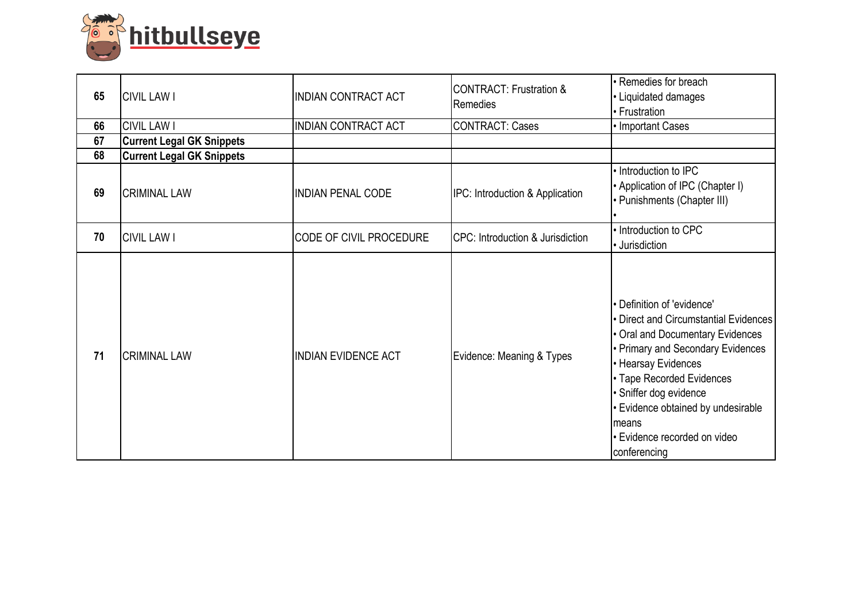

| 65 | <b>CIVIL LAW I</b>               | <b>INDIAN CONTRACT ACT</b> | <b>CONTRACT: Frustration &amp;</b><br>Remedies | • Remedies for breach<br>• Liquidated damages<br>• Frustration                                                                                                                                                                                                                                                             |
|----|----------------------------------|----------------------------|------------------------------------------------|----------------------------------------------------------------------------------------------------------------------------------------------------------------------------------------------------------------------------------------------------------------------------------------------------------------------------|
| 66 | <b>CIVIL LAW I</b>               | <b>INDIAN CONTRACT ACT</b> | <b>CONTRACT: Cases</b>                         | • Important Cases                                                                                                                                                                                                                                                                                                          |
| 67 | <b>Current Legal GK Snippets</b> |                            |                                                |                                                                                                                                                                                                                                                                                                                            |
| 68 | <b>Current Legal GK Snippets</b> |                            |                                                |                                                                                                                                                                                                                                                                                                                            |
| 69 | <b>CRIMINAL LAW</b>              | <b>INDIAN PENAL CODE</b>   | IPC: Introduction & Application                | • Introduction to IPC<br>• Application of IPC (Chapter I)<br>• Punishments (Chapter III)                                                                                                                                                                                                                                   |
| 70 | <b>CIVIL LAW I</b>               | CODE OF CIVIL PROCEDURE    | CPC: Introduction & Jurisdiction               | • Introduction to CPC<br>• Jurisdiction                                                                                                                                                                                                                                                                                    |
| 71 | <b>CRIMINAL LAW</b>              | <b>INDIAN EVIDENCE ACT</b> | Evidence: Meaning & Types                      | • Definition of 'evidence'<br>• Direct and Circumstantial Evidences<br>• Oral and Documentary Evidences<br>• Primary and Secondary Evidences<br>• Hearsay Evidences<br>• Tape Recorded Evidences<br>· Sniffer dog evidence<br>• Evidence obtained by undesirable<br>Imeans<br>• Evidence recorded on video<br>conferencing |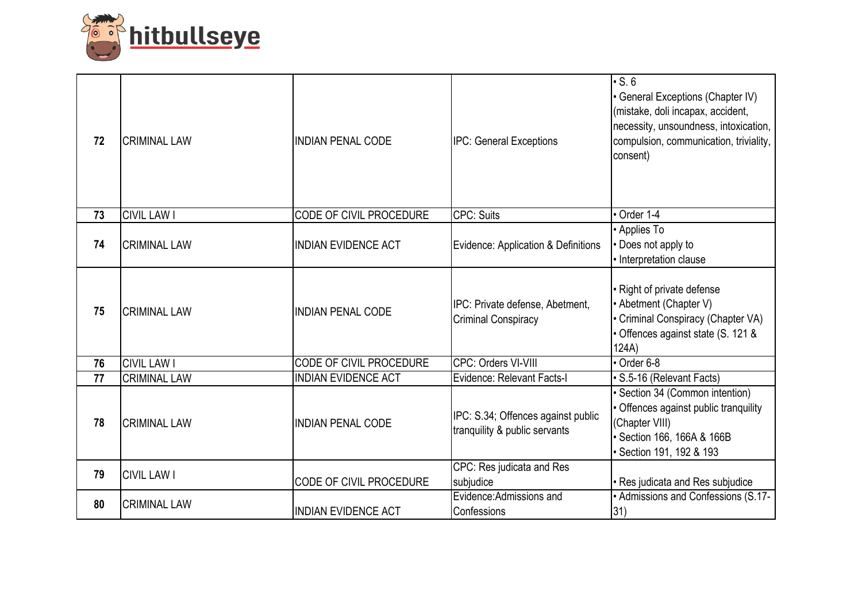

| 72 | <b>CRIMINAL LAW</b> | <b>INDIAN PENAL CODE</b>       | <b>IPC: General Exceptions</b>                                      | $\cdot$ S. 6<br>• General Exceptions (Chapter IV)<br>(mistake, doli incapax, accident,<br>necessity, unsoundness, intoxication,<br>compulsion, communication, triviality,<br>consent) |
|----|---------------------|--------------------------------|---------------------------------------------------------------------|---------------------------------------------------------------------------------------------------------------------------------------------------------------------------------------|
| 73 | <b>CIVIL LAW I</b>  | CODE OF CIVIL PROCEDURE        | CPC: Suits                                                          | $\cdot$ Order 1-4                                                                                                                                                                     |
| 74 | <b>CRIMINAL LAW</b> | <b>INDIAN EVIDENCE ACT</b>     | Evidence: Application & Definitions                                 | • Applies To<br>• Does not apply to<br>• Interpretation clause                                                                                                                        |
| 75 | <b>CRIMINAL LAW</b> | <b>INDIAN PENAL CODE</b>       | IPC: Private defense, Abetment,<br><b>Criminal Conspiracy</b>       | • Right of private defense<br>• Abetment (Chapter V)<br>• Criminal Conspiracy (Chapter VA)<br>• Offences against state (S. 121 &<br>124A)                                             |
| 76 | <b>CIVIL LAW I</b>  | <b>CODE OF CIVIL PROCEDURE</b> | CPC: Orders VI-VIII                                                 | $\overline{\cdot$ Order 6-8                                                                                                                                                           |
| 77 | <b>CRIMINAL LAW</b> | <b>INDIAN EVIDENCE ACT</b>     | Evidence: Relevant Facts-I                                          | · S.5-16 (Relevant Facts)                                                                                                                                                             |
| 78 | <b>CRIMINAL LAW</b> | <b>INDIAN PENAL CODE</b>       | IPC: S.34; Offences against public<br>tranquility & public servants | · Section 34 (Common intention)<br>• Offences against public tranquility<br>(Chapter VIII)<br>· Section 166, 166A & 166B<br>Section 191, 192 & 193                                    |
| 79 | <b>CIVIL LAW I</b>  | CODE OF CIVIL PROCEDURE        | CPC: Res judicata and Res<br>subjudice                              | · Res judicata and Res subjudice                                                                                                                                                      |
| 80 | <b>CRIMINAL LAW</b> | <b>INDIAN EVIDENCE ACT</b>     | Evidence:Admissions and<br>Confessions                              | • Admissions and Confessions (S.17-<br>31)                                                                                                                                            |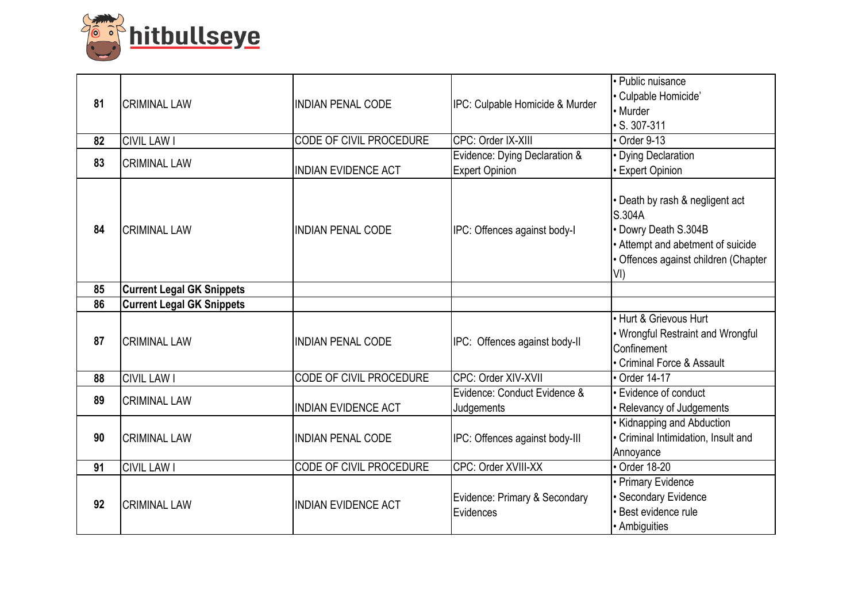

| 81 | <b>CRIMINAL LAW</b>              | <b>INDIAN PENAL CODE</b>       | IPC: Culpable Homicide & Murder                        | • Public nuisance<br>• Culpable Homicide'<br>• Murder<br>$\cdot$ S. 307-311                                                                           |
|----|----------------------------------|--------------------------------|--------------------------------------------------------|-------------------------------------------------------------------------------------------------------------------------------------------------------|
| 82 | <b>CIVIL LAW I</b>               | CODE OF CIVIL PROCEDURE        | CPC: Order IX-XIII                                     | Order 9-13                                                                                                                                            |
| 83 | <b>CRIMINAL LAW</b>              | <b>INDIAN EVIDENCE ACT</b>     | Evidence: Dying Declaration &<br><b>Expert Opinion</b> | <b>Dying Declaration</b><br><b>Expert Opinion</b>                                                                                                     |
| 84 | <b>CRIMINAL LAW</b>              | <b>INDIAN PENAL CODE</b>       | IPC: Offences against body-I                           | • Death by rash & negligent act<br>S.304A<br>• Dowry Death S.304B<br>• Attempt and abetment of suicide<br>· Offences against children (Chapter<br>VI) |
| 85 | <b>Current Legal GK Snippets</b> |                                |                                                        |                                                                                                                                                       |
| 86 | <b>Current Legal GK Snippets</b> |                                |                                                        |                                                                                                                                                       |
| 87 | <b>CRIMINAL LAW</b>              | <b>INDIAN PENAL CODE</b>       | IPC: Offences against body-II                          | • Hurt & Grievous Hurt<br>• Wrongful Restraint and Wrongful<br>Confinement<br>• Criminal Force & Assault                                              |
| 88 | <b>CIVIL LAW I</b>               | CODE OF CIVIL PROCEDURE        | CPC: Order XIV-XVII                                    | • Order 14-17                                                                                                                                         |
| 89 | <b>CRIMINAL LAW</b>              | <b>INDIAN EVIDENCE ACT</b>     | Evidence: Conduct Evidence &<br>Judgements             | • Evidence of conduct<br>• Relevancy of Judgements                                                                                                    |
| 90 | <b>CRIMINAL LAW</b>              | <b>INDIAN PENAL CODE</b>       | IPC: Offences against body-III                         | • Kidnapping and Abduction<br>• Criminal Intimidation, Insult and<br>Annoyance                                                                        |
| 91 | <b>CIVIL LAW I</b>               | <b>CODE OF CIVIL PROCEDURE</b> | CPC: Order XVIII-XX                                    | • Order 18-20                                                                                                                                         |
| 92 | <b>CRIMINAL LAW</b>              | <b>INDIAN EVIDENCE ACT</b>     | Evidence: Primary & Secondary<br>Evidences             | • Primary Evidence<br>Secondary Evidence<br>· Best evidence rule<br>• Ambiguities                                                                     |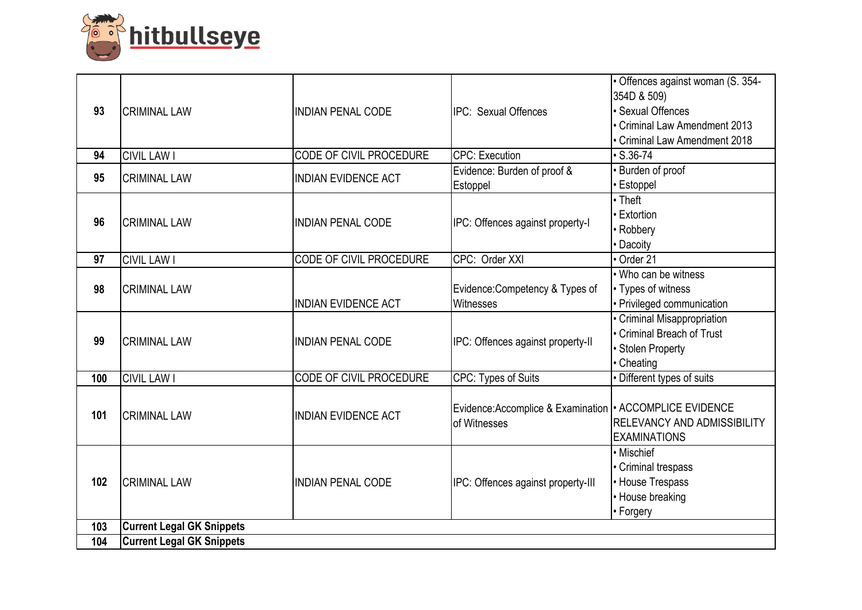

| 93  | <b>CRIMINAL LAW</b>              | <b>INDIAN PENAL CODE</b>       | <b>IPC: Sexual Offences</b>                                             | · Offences against woman (S. 354-<br>354D & 509)<br><b>Sexual Offences</b><br>Criminal Law Amendment 2013<br>Criminal Law Amendment 2018 |
|-----|----------------------------------|--------------------------------|-------------------------------------------------------------------------|------------------------------------------------------------------------------------------------------------------------------------------|
| 94  | <b>CIVIL LAW I</b>               | <b>CODE OF CIVIL PROCEDURE</b> | <b>CPC: Execution</b>                                                   | $\cdot$ S.36-74                                                                                                                          |
| 95  | <b>CRIMINAL LAW</b>              | <b>INDIAN EVIDENCE ACT</b>     | Evidence: Burden of proof &<br>Estoppel                                 | Burden of proof<br>Estoppel                                                                                                              |
| 96  | <b>CRIMINAL LAW</b>              | <b>INDIAN PENAL CODE</b>       | IPC: Offences against property-I                                        | $\overline{\cdot}$ Theft<br>Extortion<br>Robbery<br>Dacoity                                                                              |
| 97  | <b>CIVIL LAW I</b>               | CODE OF CIVIL PROCEDURE        | CPC: Order XXI                                                          | Order 21                                                                                                                                 |
| 98  | <b>CRIMINAL LAW</b>              | <b>INDIAN EVIDENCE ACT</b>     | Evidence: Competency & Types of<br>Witnesses                            | . Who can be witness<br>• Types of witness<br>· Privileged communication                                                                 |
| 99  | <b>CRIMINAL LAW</b>              | <b>INDIAN PENAL CODE</b>       | IPC: Offences against property-II                                       | Criminal Misappropriation<br>Criminal Breach of Trust<br><b>Stolen Property</b><br>Cheating                                              |
| 100 | <b>CIVIL LAW I</b>               | CODE OF CIVIL PROCEDURE        | <b>CPC: Types of Suits</b>                                              | Different types of suits                                                                                                                 |
| 101 | <b>CRIMINAL LAW</b>              | <b>INDIAN EVIDENCE ACT</b>     | Evidence:Accomplice & Examination   ACCOMPLICE EVIDENCE<br>of Witnesses | <b>RELEVANCY AND ADMISSIBILITY</b><br><b>EXAMINATIONS</b>                                                                                |
| 102 | <b>CRIMINAL LAW</b>              | <b>INDIAN PENAL CODE</b>       | IPC: Offences against property-III                                      | • Mischief<br>• Criminal trespass<br>• House Trespass<br>• House breaking<br>• Forgery                                                   |
| 103 | <b>Current Legal GK Snippets</b> |                                |                                                                         |                                                                                                                                          |
| 104 | <b>Current Legal GK Snippets</b> |                                |                                                                         |                                                                                                                                          |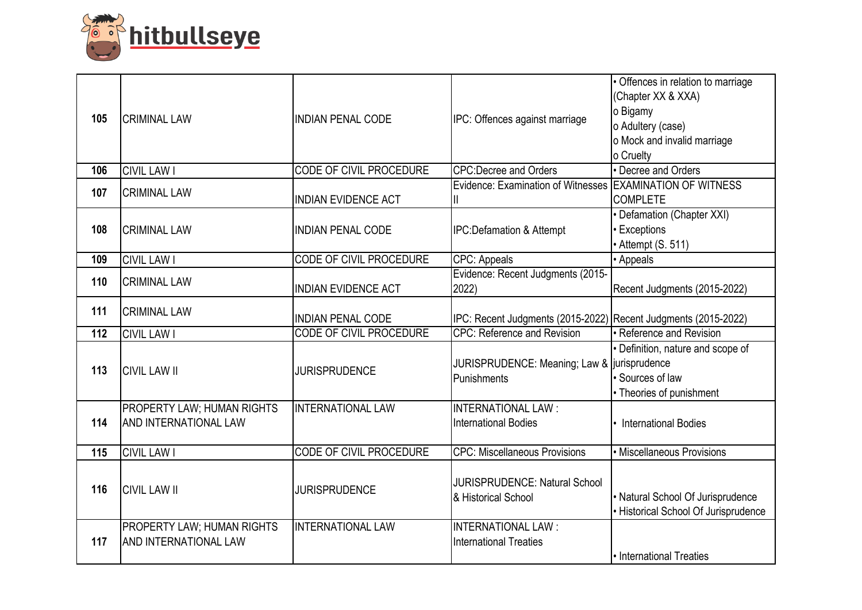

| 105 | <b>CRIMINAL LAW</b>                                 | <b>INDIAN PENAL CODE</b>       | IPC: Offences against marriage                                   | · Offences in relation to marriage<br>(Chapter XX & XXA)<br>o Bigamy<br>o Adultery (case)<br>o Mock and invalid marriage<br>o Cruelty |
|-----|-----------------------------------------------------|--------------------------------|------------------------------------------------------------------|---------------------------------------------------------------------------------------------------------------------------------------|
| 106 | <b>CIVIL LAW I</b>                                  | <b>CODE OF CIVIL PROCEDURE</b> | <b>CPC:Decree and Orders</b>                                     | • Decree and Orders                                                                                                                   |
| 107 | <b>CRIMINAL LAW</b>                                 | <b>INDIAN EVIDENCE ACT</b>     | Evidence: Examination of Witnesses   EXAMINATION OF WITNESS<br>Ш | <b>COMPLETE</b>                                                                                                                       |
| 108 | <b>CRIMINAL LAW</b>                                 | <b>INDIAN PENAL CODE</b>       | <b>IPC:Defamation &amp; Attempt</b>                              | • Defamation (Chapter XXI)<br>• Exceptions<br>• Attempt (S. 511)                                                                      |
| 109 | <b>CIVIL LAW I</b>                                  | CODE OF CIVIL PROCEDURE        | CPC: Appeals                                                     | • Appeals                                                                                                                             |
| 110 | <b>CRIMINAL LAW</b>                                 | <b>INDIAN EVIDENCE ACT</b>     | Evidence: Recent Judgments (2015-<br>2022)                       | Recent Judgments (2015-2022)                                                                                                          |
| 111 | <b>CRIMINAL LAW</b>                                 | <b>INDIAN PENAL CODE</b>       | IPC: Recent Judgments (2015-2022) Recent Judgments (2015-2022)   |                                                                                                                                       |
| 112 | <b>CIVIL LAW I</b>                                  | <b>CODE OF CIVIL PROCEDURE</b> | <b>CPC: Reference and Revision</b>                               | • Reference and Revision                                                                                                              |
| 113 | <b>CIVIL LAW II</b>                                 | <b>JURISPRUDENCE</b>           | JURISPRUDENCE: Meaning; Law & jurisprudence<br>Punishments       | · Definition, nature and scope of<br>· Sources of law<br>• Theories of punishment                                                     |
| 114 | PROPERTY LAW; HUMAN RIGHTS<br>AND INTERNATIONAL LAW | <b>INTERNATIONAL LAW</b>       | <b>INTERNATIONAL LAW:</b><br><b>International Bodies</b>         | <b>International Bodies</b>                                                                                                           |
| 115 | <b>CIVIL LAW I</b>                                  | <b>CODE OF CIVIL PROCEDURE</b> | <b>CPC: Miscellaneous Provisions</b>                             | · Miscellaneous Provisions                                                                                                            |
| 116 | <b>CIVIL LAW II</b>                                 | <b>JURISPRUDENCE</b>           | <b>JURISPRUDENCE: Natural School</b><br>& Historical School      | • Natural School Of Jurisprudence<br>• Historical School Of Jurisprudence                                                             |
| 117 | PROPERTY LAW; HUMAN RIGHTS<br>AND INTERNATIONAL LAW | <b>INTERNATIONAL LAW</b>       | <b>INTERNATIONAL LAW:</b><br><b>International Treaties</b>       | • International Treaties                                                                                                              |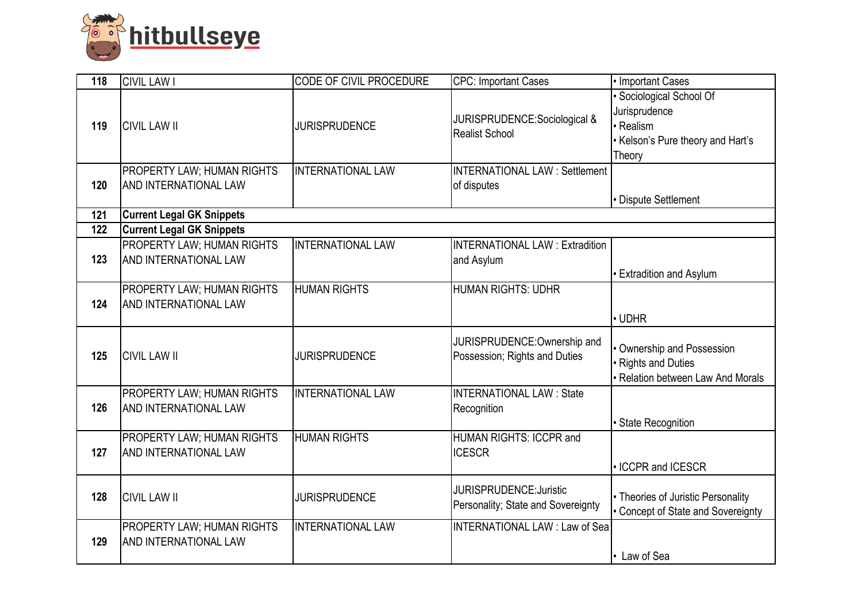

| 118 | <b>CIVIL LAW I</b>                                         | <b>CODE OF CIVIL PROCEDURE</b> | <b>CPC: Important Cases</b>                                          | • Important Cases                                                                               |
|-----|------------------------------------------------------------|--------------------------------|----------------------------------------------------------------------|-------------------------------------------------------------------------------------------------|
| 119 | <b>CIVIL LAW II</b>                                        | <b>JURISPRUDENCE</b>           | JURISPRUDENCE:Sociological &<br><b>Realist School</b>                | Sociological School Of<br>Jurisprudence<br>Realism<br>Kelson's Pure theory and Hart's<br>Theory |
| 120 | <b>PROPERTY LAW; HUMAN RIGHTS</b><br>AND INTERNATIONAL LAW | <b>INTERNATIONAL LAW</b>       | <b>INTERNATIONAL LAW: Settlement</b><br>of disputes                  | Dispute Settlement                                                                              |
| 121 | <b>Current Legal GK Snippets</b>                           |                                |                                                                      |                                                                                                 |
| 122 | <b>Current Legal GK Snippets</b>                           |                                |                                                                      |                                                                                                 |
| 123 | PROPERTY LAW; HUMAN RIGHTS<br>AND INTERNATIONAL LAW        | <b>INTERNATIONAL LAW</b>       | <b>INTERNATIONAL LAW: Extradition</b><br>and Asylum                  | <b>Extradition and Asylum</b>                                                                   |
| 124 | PROPERTY LAW; HUMAN RIGHTS<br>AND INTERNATIONAL LAW        | <b>HUMAN RIGHTS</b>            | HUMAN RIGHTS: UDHR                                                   | · UDHR                                                                                          |
| 125 | <b>CIVIL LAW II</b>                                        | <b>JURISPRUDENCE</b>           | JURISPRUDENCE: Ownership and<br>Possession; Rights and Duties        | Ownership and Possession<br>Rights and Duties<br>Relation between Law And Morals                |
| 126 | <b>PROPERTY LAW; HUMAN RIGHTS</b><br>AND INTERNATIONAL LAW | <b>INTERNATIONAL LAW</b>       | <b>INTERNATIONAL LAW: State</b><br>Recognition                       | <b>State Recognition</b>                                                                        |
| 127 | PROPERTY LAW; HUMAN RIGHTS<br>AND INTERNATIONAL LAW        | <b>HUMAN RIGHTS</b>            | HUMAN RIGHTS: ICCPR and<br><b>ICESCR</b>                             | · ICCPR and ICESCR                                                                              |
| 128 | <b>CIVIL LAW II</b>                                        | <b>JURISPRUDENCE</b>           | <b>JURISPRUDENCE: Juristic</b><br>Personality; State and Sovereignty | • Theories of Juristic Personality<br>Concept of State and Sovereignty                          |
| 129 | <b>PROPERTY LAW; HUMAN RIGHTS</b><br>AND INTERNATIONAL LAW | <b>INTERNATIONAL LAW</b>       | <b>INTERNATIONAL LAW: Law of Sea</b>                                 | • Law of Sea                                                                                    |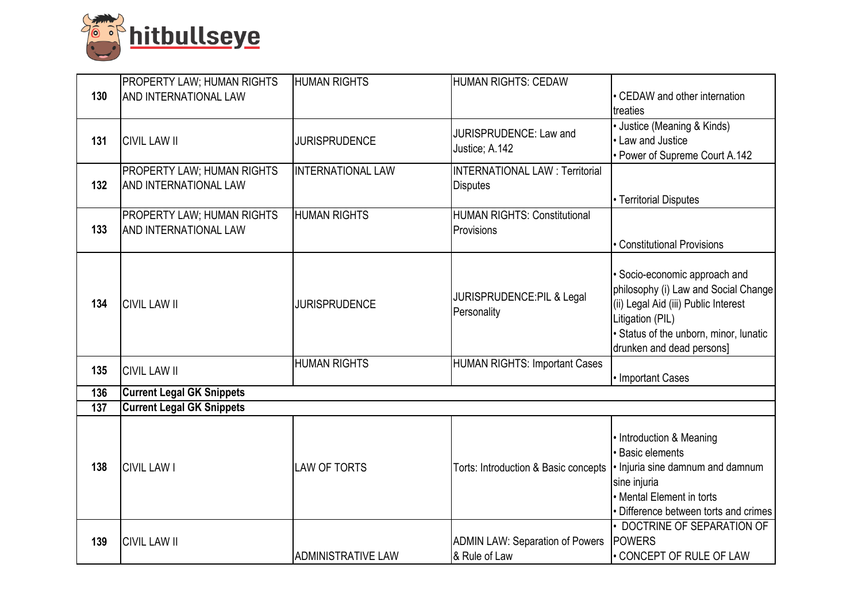

|     | <b>PROPERTY LAW; HUMAN RIGHTS</b>                          | <b>HUMAN RIGHTS</b>      | <b>HUMAN RIGHTS: CEDAW</b>             |                                                            |
|-----|------------------------------------------------------------|--------------------------|----------------------------------------|------------------------------------------------------------|
| 130 | <b>AND INTERNATIONAL LAW</b>                               |                          |                                        | • CEDAW and other internation                              |
|     |                                                            |                          |                                        | treaties                                                   |
|     |                                                            |                          | JURISPRUDENCE: Law and                 | • Justice (Meaning & Kinds)                                |
| 131 | <b>CIVIL LAW II</b>                                        | <b>JURISPRUDENCE</b>     | Justice; A.142                         | • Law and Justice                                          |
|     |                                                            |                          | <b>INTERNATIONAL LAW: Territorial</b>  | • Power of Supreme Court A.142                             |
| 132 | <b>PROPERTY LAW; HUMAN RIGHTS</b><br>AND INTERNATIONAL LAW | <b>INTERNATIONAL LAW</b> | <b>Disputes</b>                        |                                                            |
|     |                                                            |                          |                                        | • Territorial Disputes                                     |
|     | PROPERTY LAW; HUMAN RIGHTS                                 | <b>HUMAN RIGHTS</b>      | <b>HUMAN RIGHTS: Constitutional</b>    |                                                            |
| 133 | AND INTERNATIONAL LAW                                      |                          | Provisions                             |                                                            |
|     |                                                            |                          |                                        | • Constitutional Provisions                                |
|     |                                                            |                          |                                        |                                                            |
|     |                                                            |                          |                                        | · Socio-economic approach and                              |
|     |                                                            |                          | JURISPRUDENCE:PIL & Legal              | philosophy (i) Law and Social Change                       |
| 134 | <b>CIVIL LAW II</b>                                        | <b>JURISPRUDENCE</b>     | Personality                            | (ii) Legal Aid (iii) Public Interest                       |
|     |                                                            |                          |                                        | Litigation (PIL)<br>· Status of the unborn, minor, lunatic |
|     |                                                            |                          |                                        | drunken and dead persons]                                  |
|     |                                                            | <b>HUMAN RIGHTS</b>      | <b>HUMAN RIGHTS: Important Cases</b>   |                                                            |
| 135 | <b>CIVIL LAW II</b>                                        |                          |                                        | • Important Cases                                          |
| 136 | <b>Current Legal GK Snippets</b>                           |                          |                                        |                                                            |
| 137 | <b>Current Legal GK Snippets</b>                           |                          |                                        |                                                            |
|     |                                                            |                          |                                        |                                                            |
|     |                                                            |                          |                                        | • Introduction & Meaning                                   |
|     |                                                            |                          |                                        | · Basic elements                                           |
| 138 | <b>CIVIL LAW I</b>                                         | <b>LAW OF TORTS</b>      | Torts: Introduction & Basic concepts   | . Injuria sine damnum and damnum<br>sine injuria           |
|     |                                                            |                          |                                        | • Mental Element in torts                                  |
|     |                                                            |                          |                                        | Difference between torts and crimes                        |
|     |                                                            |                          |                                        | • DOCTRINE OF SEPARATION OF                                |
| 139 | <b>CIVIL LAW II</b>                                        |                          | <b>ADMIN LAW: Separation of Powers</b> | <b>POWERS</b>                                              |
|     |                                                            | ADMINISTRATIVE LAW       | & Rule of Law                          | • CONCEPT OF RULE OF LAW                                   |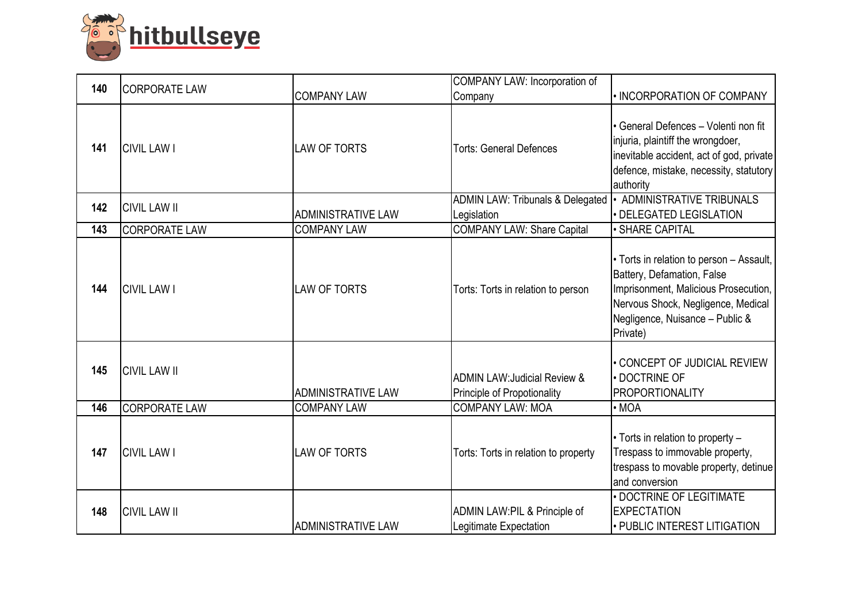

| 140 | <b>CORPORATE LAW</b> |                           | COMPANY LAW: Incorporation of                                          |                                                                                                                                                                                                     |
|-----|----------------------|---------------------------|------------------------------------------------------------------------|-----------------------------------------------------------------------------------------------------------------------------------------------------------------------------------------------------|
|     |                      | <b>COMPANY LAW</b>        | Company                                                                | · INCORPORATION OF COMPANY                                                                                                                                                                          |
| 141 | <b>CIVIL LAW I</b>   | <b>LAW OF TORTS</b>       | <b>Torts: General Defences</b>                                         | • General Defences - Volenti non fit<br>injuria, plaintiff the wrongdoer,<br>inevitable accident, act of god, private<br>defence, mistake, necessity, statutory<br>authority                        |
| 142 | <b>CIVIL LAW II</b>  |                           | <b>ADMIN LAW: Tribunals &amp; Delegated</b>                            | <b>ADMINISTRATIVE TRIBUNALS</b>                                                                                                                                                                     |
|     |                      | ADMINISTRATIVE LAW        | Legislation                                                            | · DELEGATED LEGISLATION                                                                                                                                                                             |
| 143 | <b>CORPORATE LAW</b> | <b>COMPANY LAW</b>        | <b>COMPANY LAW: Share Capital</b>                                      | <b>SHARE CAPITAL</b>                                                                                                                                                                                |
| 144 | <b>CIVIL LAW I</b>   | <b>LAW OF TORTS</b>       | Torts: Torts in relation to person                                     | • Torts in relation to person – Assault,<br>Battery, Defamation, False<br>Imprisonment, Malicious Prosecution,<br>Nervous Shock, Negligence, Medical<br>Negligence, Nuisance - Public &<br>Private) |
| 145 | <b>CIVIL LAW II</b>  | <b>ADMINISTRATIVE LAW</b> | <b>ADMIN LAW: Judicial Review &amp;</b><br>Principle of Propotionality | • CONCEPT OF JUDICIAL REVIEW<br>· DOCTRINE OF<br><b>PROPORTIONALITY</b>                                                                                                                             |
| 146 | <b>CORPORATE LAW</b> | <b>COMPANY LAW</b>        | <b>COMPANY LAW: MOA</b>                                                | $\cdot$ MOA                                                                                                                                                                                         |
| 147 | <b>CIVIL LAW I</b>   | <b>LAW OF TORTS</b>       | Torts: Torts in relation to property                                   | • Torts in relation to property -<br>Trespass to immovable property,<br>trespass to movable property, detinue<br>and conversion                                                                     |
| 148 | <b>CIVIL LAW II</b>  | ADMINISTRATIVE LAW        | ADMIN LAW:PIL & Principle of<br>Legitimate Expectation                 | · DOCTRINE OF LEGITIMATE<br><b>EXPECTATION</b><br>• PUBLIC INTEREST LITIGATION                                                                                                                      |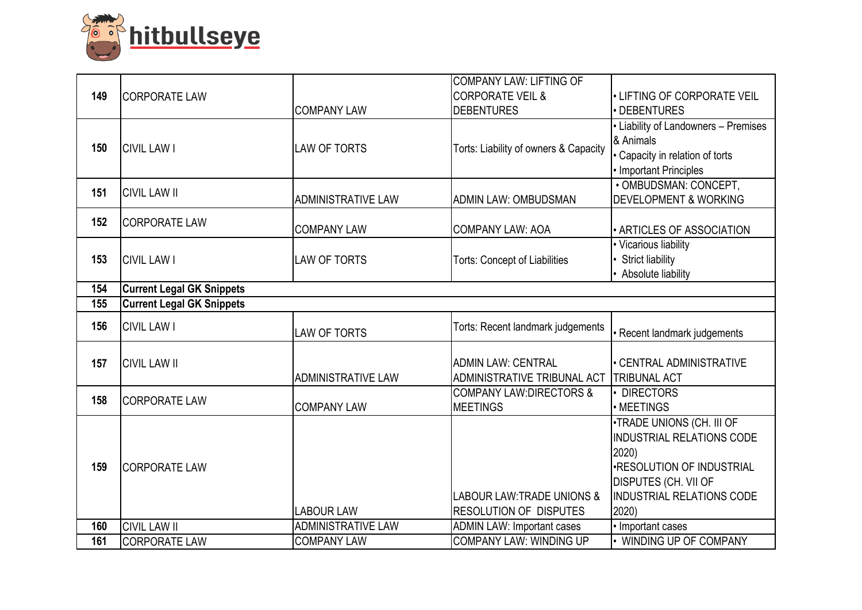

|     |                                  |                           | COMPANY LAW: LIFTING OF               |                                      |
|-----|----------------------------------|---------------------------|---------------------------------------|--------------------------------------|
| 149 | <b>CORPORATE LAW</b>             |                           | <b>CORPORATE VEIL &amp;</b>           | • LIFTING OF CORPORATE VEIL          |
|     |                                  | <b>COMPANY LAW</b>        | <b>DEBENTURES</b>                     | DEBENTURES                           |
|     |                                  |                           |                                       | • Liability of Landowners - Premises |
| 150 | <b>CIVIL LAW I</b>               | <b>LAW OF TORTS</b>       | Torts: Liability of owners & Capacity | & Animals                            |
|     |                                  |                           |                                       | · Capacity in relation of torts      |
|     |                                  |                           |                                       | • Important Principles               |
| 151 | <b>CIVIL LAW II</b>              |                           |                                       | · OMBUDSMAN: CONCEPT,                |
|     |                                  | <b>ADMINISTRATIVE LAW</b> | <b>ADMIN LAW: OMBUDSMAN</b>           | <b>DEVELOPMENT &amp; WORKING</b>     |
| 152 | <b>CORPORATE LAW</b>             |                           |                                       |                                      |
|     |                                  | <b>COMPANY LAW</b>        | <b>COMPANY LAW: AOA</b>               | · ARTICLES OF ASSOCIATION            |
|     |                                  |                           |                                       | • Vicarious liability                |
| 153 | <b>CIVIL LAW I</b>               | <b>LAW OF TORTS</b>       | <b>Torts: Concept of Liabilities</b>  | <b>Strict liability</b>              |
|     |                                  |                           |                                       | Absolute liability                   |
| 154 | <b>Current Legal GK Snippets</b> |                           |                                       |                                      |
| 155 | <b>Current Legal GK Snippets</b> |                           |                                       |                                      |
| 156 | <b>CIVIL LAW I</b>               |                           | Torts: Recent landmark judgements     |                                      |
|     |                                  | <b>LAW OF TORTS</b>       |                                       | Recent landmark judgements           |
| 157 | <b>CIVIL LAW II</b>              |                           | <b>ADMIN LAW: CENTRAL</b>             | · CENTRAL ADMINISTRATIVE             |
|     |                                  | <b>ADMINISTRATIVE LAW</b> | ADMINISTRATIVE TRIBUNAL ACT           | <b>TRIBUNAL ACT</b>                  |
|     |                                  |                           | <b>COMPANY LAW:DIRECTORS &amp;</b>    | <b>DIRECTORS</b>                     |
| 158 | <b>CORPORATE LAW</b>             | <b>COMPANY LAW</b>        | <b>MEETINGS</b>                       | • MEETINGS                           |
|     |                                  |                           |                                       | .TRADE UNIONS (CH. III OF            |
|     |                                  |                           |                                       | <b>INDUSTRIAL RELATIONS CODE</b>     |
|     |                                  |                           |                                       | 2020)                                |
| 159 | <b>CORPORATE LAW</b>             |                           |                                       | <b>.RESOLUTION OF INDUSTRIAL</b>     |
|     |                                  |                           |                                       | <b>DISPUTES (CH. VII OF</b>          |
|     |                                  |                           | <b>LABOUR LAW: TRADE UNIONS &amp;</b> | <b>INDUSTRIAL RELATIONS CODE</b>     |
|     |                                  | <b>LABOUR LAW</b>         | <b>RESOLUTION OF DISPUTES</b>         | 2020)                                |
| 160 | <b>CIVIL LAW II</b>              | <b>ADMINISTRATIVE LAW</b> | <b>ADMIN LAW: Important cases</b>     | · Important cases                    |
| 161 |                                  | <b>COMPANY LAW</b>        | <b>COMPANY LAW: WINDING UP</b>        | • WINDING UP OF COMPANY              |
|     | <b>CORPORATE LAW</b>             |                           |                                       |                                      |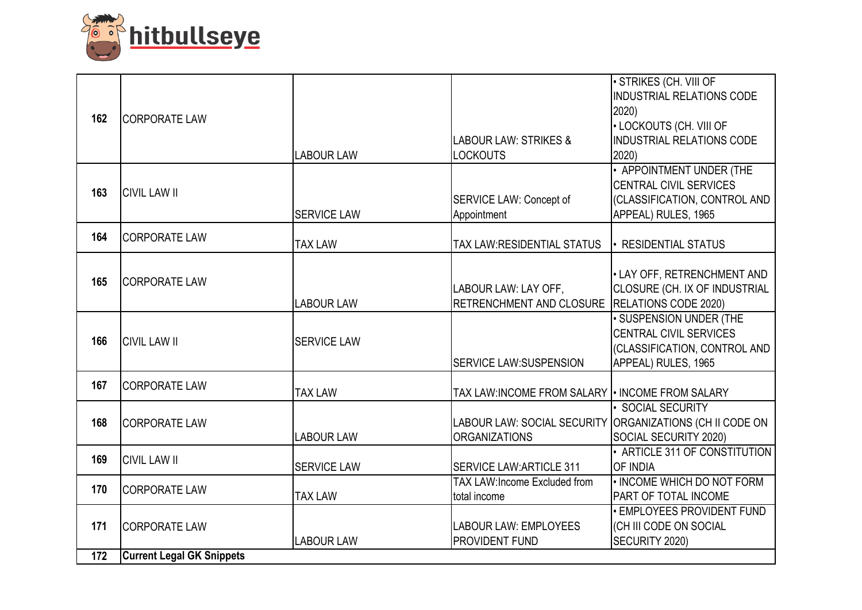

| 162 | <b>CORPORATE LAW</b>             |                    | <b>LABOUR LAW: STRIKES &amp;</b>                                                 | · STRIKES (CH. VIII OF<br><b>INDUSTRIAL RELATIONS CODE</b><br>2020<br>• LOCKOUTS (CH. VIII OF<br><b>INDUSTRIAL RELATIONS CODE</b> |
|-----|----------------------------------|--------------------|----------------------------------------------------------------------------------|-----------------------------------------------------------------------------------------------------------------------------------|
|     |                                  | <b>LABOUR LAW</b>  | <b>LOCKOUTS</b>                                                                  | 2020                                                                                                                              |
| 163 | <b>CIVIL LAW II</b>              | <b>SERVICE LAW</b> | <b>SERVICE LAW: Concept of</b><br>Appointment                                    | • APPOINTMENT UNDER (THE<br><b>CENTRAL CIVIL SERVICES</b><br>(CLASSIFICATION, CONTROL AND<br>APPEAL) RULES, 1965                  |
| 164 | <b>CORPORATE LAW</b>             | <b>TAX LAW</b>     | <b>TAX LAW:RESIDENTIAL STATUS</b>                                                | • RESIDENTIAL STATUS                                                                                                              |
|     |                                  |                    |                                                                                  |                                                                                                                                   |
| 165 | <b>CORPORATE LAW</b>             | <b>LABOUR LAW</b>  | LABOUR LAW: LAY OFF,<br>RETRENCHMENT AND CLOSURE RELATIONS CODE 2020)            | . LAY OFF, RETRENCHMENT AND<br>CLOSURE (CH. IX OF INDUSTRIAL                                                                      |
| 166 | <b>CIVIL LAW II</b>              | <b>SERVICE LAW</b> | <b>SERVICE LAW:SUSPENSION</b>                                                    | • SUSPENSION UNDER (THE<br><b>CENTRAL CIVIL SERVICES</b><br>(CLASSIFICATION, CONTROL AND<br>APPEAL) RULES, 1965                   |
| 167 | <b>CORPORATE LAW</b>             | <b>TAX LAW</b>     | TAX LAW:INCOME FROM SALARY   INCOME FROM SALARY                                  |                                                                                                                                   |
| 168 | <b>CORPORATE LAW</b>             | <b>LABOUR LAW</b>  | LABOUR LAW: SOCIAL SECURITY ORGANIZATIONS (CH II CODE ON<br><b>ORGANIZATIONS</b> | · SOCIAL SECURITY<br>SOCIAL SECURITY 2020)                                                                                        |
| 169 | <b>CIVIL LAW II</b>              | <b>SERVICE LAW</b> | <b>ISERVICE LAW:ARTICLE 311</b>                                                  | • ARTICLE 311 OF CONSTITUTION<br>OF INDIA                                                                                         |
| 170 | <b>CORPORATE LAW</b>             | <b>TAX LAW</b>     | <b>TAX LAW:Income Excluded from</b><br>total income                              | • INCOME WHICH DO NOT FORM<br>PART OF TOTAL INCOME                                                                                |
| 171 | <b>CORPORATE LAW</b>             | <b>LABOUR LAW</b>  | <b>LABOUR LAW: EMPLOYEES</b><br><b>PROVIDENT FUND</b>                            | <b>. EMPLOYEES PROVIDENT FUND</b><br>(CH III CODE ON SOCIAL<br>SECURITY 2020)                                                     |
| 172 | <b>Current Legal GK Snippets</b> |                    |                                                                                  |                                                                                                                                   |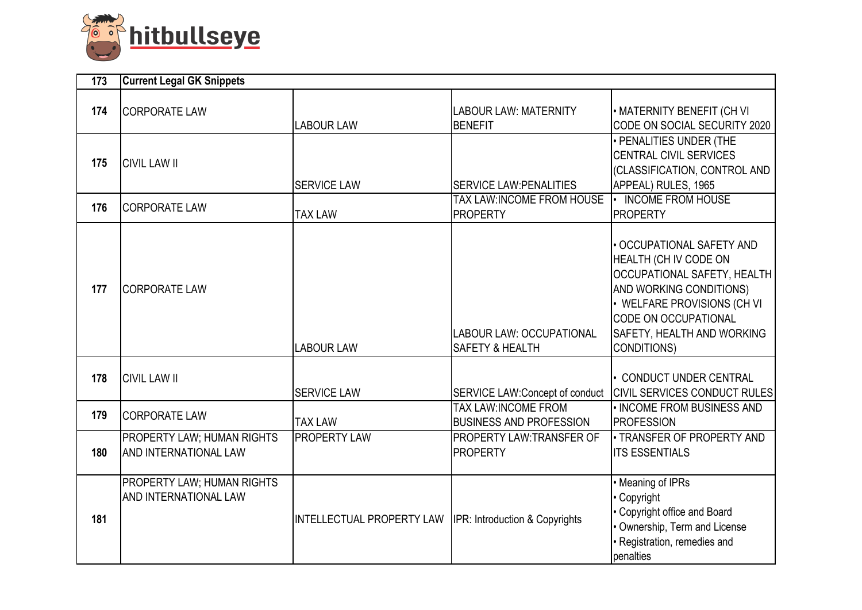

| 173 | <b>Current Legal GK Snippets</b>                                  |                                                           |                                                                  |                                                                                                                                                                                                                                              |  |
|-----|-------------------------------------------------------------------|-----------------------------------------------------------|------------------------------------------------------------------|----------------------------------------------------------------------------------------------------------------------------------------------------------------------------------------------------------------------------------------------|--|
| 174 | <b>CORPORATE LAW</b>                                              | <b>LABOUR LAW</b>                                         | <b>LABOUR LAW: MATERNITY</b><br><b>BENEFIT</b>                   | • MATERNITY BENEFIT (CH VI<br>CODE ON SOCIAL SECURITY 2020                                                                                                                                                                                   |  |
| 175 | <b>CIVIL LAW II</b>                                               | <b>SERVICE LAW</b>                                        | <b>SERVICE LAW: PENALITIES</b>                                   | • PENALITIES UNDER (THE<br><b>CENTRAL CIVIL SERVICES</b><br>(CLASSIFICATION, CONTROL AND<br>APPEAL) RULES, 1965                                                                                                                              |  |
| 176 | <b>CORPORATE LAW</b>                                              | <b>TAX LAW</b>                                            | TAX LAW:INCOME FROM HOUSE   INCOME FROM HOUSE<br><b>PROPERTY</b> | <b>PROPERTY</b>                                                                                                                                                                                                                              |  |
| 177 | <b>CORPORATE LAW</b>                                              | <b>LABOUR LAW</b>                                         | LABOUR LAW: OCCUPATIONAL<br><b>SAFETY &amp; HEALTH</b>           | · OCCUPATIONAL SAFETY AND<br>HEALTH (CH IV CODE ON<br><b>OCCUPATIONAL SAFETY, HEALTH</b><br>AND WORKING CONDITIONS)<br>• WELFARE PROVISIONS (CH VI<br><b>CODE ON OCCUPATIONAL</b><br><b>SAFETY, HEALTH AND WORKING</b><br><b>CONDITIONS)</b> |  |
| 178 | <b>CIVIL LAW II</b>                                               | <b>SERVICE LAW</b>                                        |                                                                  | • CONDUCT UNDER CENTRAL<br>SERVICE LAW:Concept of conduct CIVIL SERVICES CONDUCT RULES                                                                                                                                                       |  |
| 179 | <b>CORPORATE LAW</b>                                              | <b>TAX LAW</b>                                            | <b>TAX LAW:INCOME FROM</b><br><b>BUSINESS AND PROFESSION</b>     | . INCOME FROM BUSINESS AND<br><b>PROFESSION</b>                                                                                                                                                                                              |  |
| 180 | <b>PROPERTY LAW; HUMAN RIGHTS</b><br><b>AND INTERNATIONAL LAW</b> | <b>PROPERTY LAW</b>                                       | <b>PROPERTY LAW:TRANSFER OF</b><br><b>PROPERTY</b>               | . TRANSFER OF PROPERTY AND<br><b>ITS ESSENTIALS</b>                                                                                                                                                                                          |  |
| 181 | <b>PROPERTY LAW; HUMAN RIGHTS</b><br><b>AND INTERNATIONAL LAW</b> | INTELLECTUAL PROPERTY LAW  IPR: Introduction & Copyrights |                                                                  | • Meaning of IPRs<br>Copyright<br>• Copyright office and Board<br>Ownership, Term and License<br>· Registration, remedies and<br>penalties                                                                                                   |  |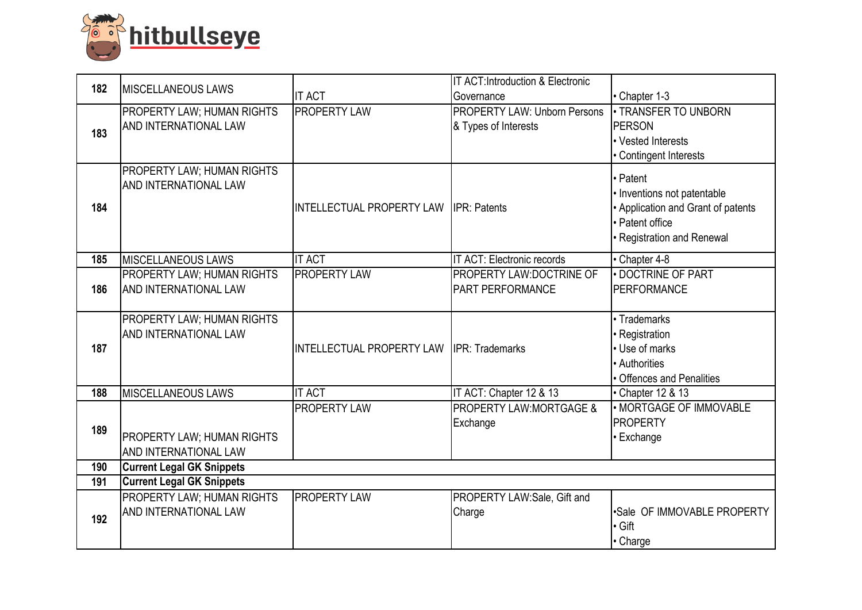

| 182 | <b>IMISCELLANEOUS LAWS</b>        |                                        | IT ACT: Introduction & Electronic   |                                    |
|-----|-----------------------------------|----------------------------------------|-------------------------------------|------------------------------------|
|     |                                   | <b>IT ACT</b>                          | Governance                          | • Chapter 1-3                      |
|     | PROPERTY LAW; HUMAN RIGHTS        | <b>PROPERTY LAW</b>                    | <b>PROPERTY LAW: Unborn Persons</b> | <b>. TRANSFER TO UNBORN</b>        |
| 183 | AND INTERNATIONAL LAW             |                                        | & Types of Interests                | <b>PERSON</b>                      |
|     |                                   |                                        |                                     | • Vested Interests                 |
|     |                                   |                                        |                                     | • Contingent Interests             |
|     | PROPERTY LAW; HUMAN RIGHTS        |                                        |                                     | • Patent                           |
|     | AND INTERNATIONAL LAW             |                                        |                                     | · Inventions not patentable        |
| 184 |                                   | INTELLECTUAL PROPERTY LAW IPR: Patents |                                     | • Application and Grant of patents |
|     |                                   |                                        |                                     | · Patent office                    |
|     |                                   |                                        |                                     | · Registration and Renewal         |
|     |                                   |                                        |                                     |                                    |
| 185 | <b>MISCELLANEOUS LAWS</b>         | <b>IT ACT</b>                          | IT ACT: Electronic records          | • Chapter 4-8                      |
|     | PROPERTY LAW; HUMAN RIGHTS        | <b>PROPERTY LAW</b>                    | PROPERTY LAW:DOCTRINE OF            | · DOCTRINE OF PART                 |
| 186 | <b>AND INTERNATIONAL LAW</b>      |                                        | <b>PART PERFORMANCE</b>             | <b>PERFORMANCE</b>                 |
|     |                                   |                                        |                                     |                                    |
|     | PROPERTY LAW; HUMAN RIGHTS        |                                        |                                     | • Trademarks                       |
|     | AND INTERNATIONAL LAW             |                                        |                                     | Registration                       |
| 187 |                                   | INTELLECTUAL PROPERTY LAW              | <b>IPR: Trademarks</b>              | • Use of marks                     |
|     |                                   |                                        |                                     | • Authorities                      |
|     |                                   | <b>IT ACT</b>                          |                                     | • Offences and Penalities          |
| 188 | <b>MISCELLANEOUS LAWS</b>         |                                        | IT ACT: Chapter 12 & 13             | • Chapter 12 & 13                  |
|     |                                   | <b>PROPERTY LAW</b>                    | <b>PROPERTY LAW:MORTGAGE &amp;</b>  | · MORTGAGE OF IMMOVABLE            |
| 189 |                                   |                                        | Exchange                            | <b>PROPERTY</b>                    |
|     | <b>PROPERTY LAW; HUMAN RIGHTS</b> |                                        |                                     | <b>Exchange</b>                    |
|     | AND INTERNATIONAL LAW             |                                        |                                     |                                    |
| 190 | <b>Current Legal GK Snippets</b>  |                                        |                                     |                                    |
| 191 | <b>Current Legal GK Snippets</b>  |                                        |                                     |                                    |
|     | PROPERTY LAW; HUMAN RIGHTS        | <b>PROPERTY LAW</b>                    | PROPERTY LAW:Sale, Gift and         |                                    |
| 192 | AND INTERNATIONAL LAW             |                                        | Charge                              | .Sale OF IMMOVABLE PROPERTY        |
|     |                                   |                                        |                                     | $\cdot$ Gift                       |
|     |                                   |                                        |                                     | • Charge                           |